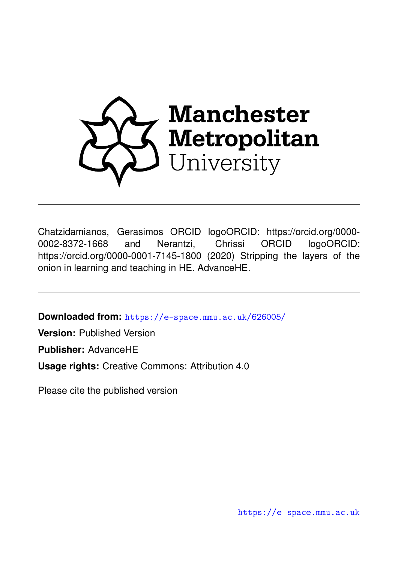

Chatzidamianos, Gerasimos ORCID logoORCID: https://orcid.org/0000- 0002-8372-1668 and Nerantzi, Chrissi ORCID logoORCID: https://orcid.org/0000-0001-7145-1800 (2020) Stripping the layers of the onion in learning and teaching in HE. AdvanceHE.

**Downloaded from:** <https://e-space.mmu.ac.uk/626005/>

**Version:** Published Version

**Publisher:** AdvanceHE

**Usage rights:** Creative Commons: Attribution 4.0

Please cite the published version

<https://e-space.mmu.ac.uk>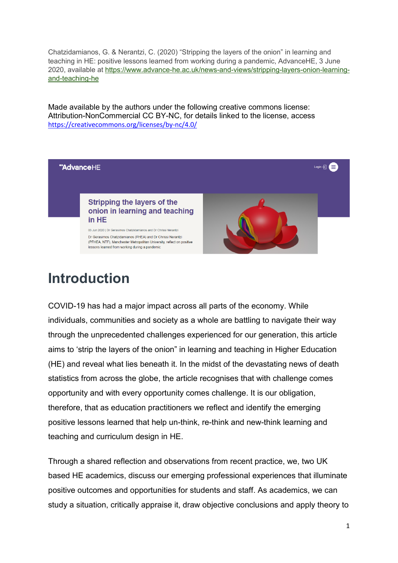Chatzidamianos, G. & Nerantzi, C. (2020) "Stripping the layers of the onion" in learning and teaching in HE: positive lessons learned from working during a pandemic, AdvanceHE, 3 June 2020, available at [https://www.advance-he.ac.uk/news-and-views/stripping-layers-onion-learning](https://www.advance-he.ac.uk/news-and-views/stripping-layers-onion-learning-and-teaching-he)[and-teaching-he](https://www.advance-he.ac.uk/news-and-views/stripping-layers-onion-learning-and-teaching-he)

Made available by the authors under the following creative commons license: Attribution-NonCommercial CC BY-NC, for details linked to the license, access <https://creativecommons.org/licenses/by-nc/4.0/>



# **Introduction**

COVID-19 has had a major impact across all parts of the economy. While individuals, communities and society as a whole are battling to navigate their way through the unprecedented challenges experienced for our generation, this article aims to 'strip the layers of the onion" in learning and teaching in Higher Education (HE) and reveal what lies beneath it. In the midst of the devastating news of death statistics from across the globe, the article recognises that with challenge comes opportunity and with every opportunity comes challenge. It is our obligation, therefore, that as education practitioners we reflect and identify the emerging positive lessons learned that help un-think, re-think and new-think learning and teaching and curriculum design in HE.

Through a shared reflection and observations from recent practice, we, two UK based HE academics, discuss our emerging professional experiences that illuminate positive outcomes and opportunities for students and staff. As academics, we can study a situation, critically appraise it, draw objective conclusions and apply theory to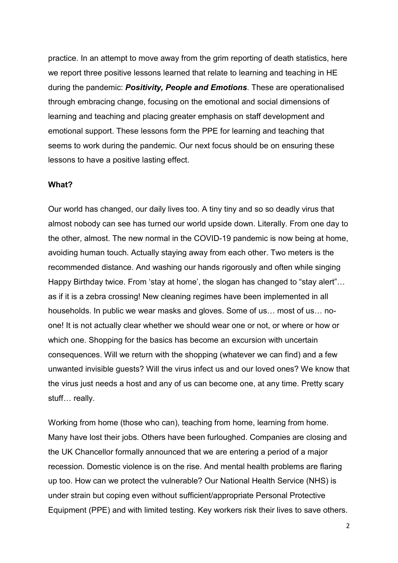practice. In an attempt to move away from the grim reporting of death statistics, here we report three positive lessons learned that relate to learning and teaching in HE during the pandemic: *Positivity, People and Emotions*. These are operationalised through embracing change, focusing on the emotional and social dimensions of learning and teaching and placing greater emphasis on staff development and emotional support. These lessons form the PPE for learning and teaching that seems to work during the pandemic. Our next focus should be on ensuring these lessons to have a positive lasting effect.

#### **What?**

Our world has changed, our daily lives too. A tiny tiny and so so deadly virus that almost nobody can see has turned our world upside down. Literally. From one day to the other, almost. The new normal in the COVID-19 pandemic is now being at home, avoiding human touch. Actually staying away from each other. Two meters is the recommended distance. And washing our hands rigorously and often while singing Happy Birthday twice. From 'stay at home', the slogan has changed to "stay alert"… as if it is a zebra crossing! New cleaning regimes have been implemented in all households. In public we wear masks and gloves. Some of us… most of us… noone! It is not actually clear whether we should wear one or not, or where or how or which one. Shopping for the basics has become an excursion with uncertain consequences. Will we return with the shopping (whatever we can find) and a few unwanted invisible guests? Will the virus infect us and our loved ones? We know that the virus just needs a host and any of us can become one, at any time. Pretty scary stuff… really.

Working from home (those who can), teaching from home, learning from home. Many have lost their jobs. Others have been furloughed. Companies are closing and the UK Chancellor formally announced that we are entering a period of a major recession. Domestic violence is on the rise. And mental health problems are flaring up too. How can we protect the vulnerable? Our National Health Service (NHS) is under strain but coping even without sufficient/appropriate Personal Protective Equipment (PPE) and with limited testing. Key workers risk their lives to save others.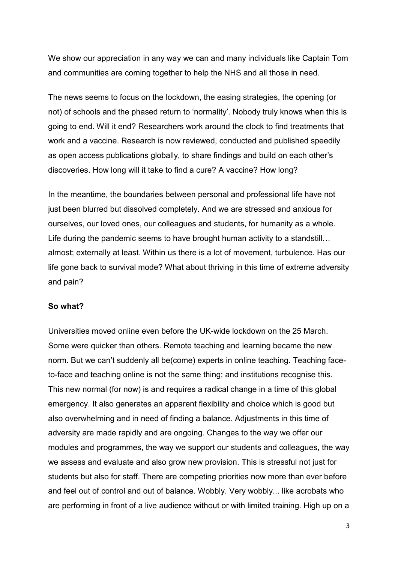We show our appreciation in any way we can and many individuals like Captain Tom and communities are coming together to help the NHS and all those in need.

The news seems to focus on the lockdown, the easing strategies, the opening (or not) of schools and the phased return to 'normality'. Nobody truly knows when this is going to end. Will it end? Researchers work around the clock to find treatments that work and a vaccine. Research is now reviewed, conducted and published speedily as open access publications globally, to share findings and build on each other's discoveries. How long will it take to find a cure? A vaccine? How long?

In the meantime, the boundaries between personal and professional life have not just been blurred but dissolved completely. And we are stressed and anxious for ourselves, our loved ones, our colleagues and students, for humanity as a whole. Life during the pandemic seems to have brought human activity to a standstill… almost; externally at least. Within us there is a lot of movement, turbulence. Has our life gone back to survival mode? What about thriving in this time of extreme adversity and pain?

### **So what?**

Universities moved online even before the UK-wide lockdown on the 25 March. Some were quicker than others. Remote teaching and learning became the new norm. But we can't suddenly all be(come) experts in online teaching. Teaching faceto-face and teaching online is not the same thing; and institutions recognise this. This new normal (for now) is and requires a radical change in a time of this global emergency. It also generates an apparent flexibility and choice which is good but also overwhelming and in need of finding a balance. Adjustments in this time of adversity are made rapidly and are ongoing. Changes to the way we offer our modules and programmes, the way we support our students and colleagues, the way we assess and evaluate and also grow new provision. This is stressful not just for students but also for staff. There are competing priorities now more than ever before and feel out of control and out of balance. Wobbly. Very wobbly... like acrobats who are performing in front of a live audience without or with limited training. High up on a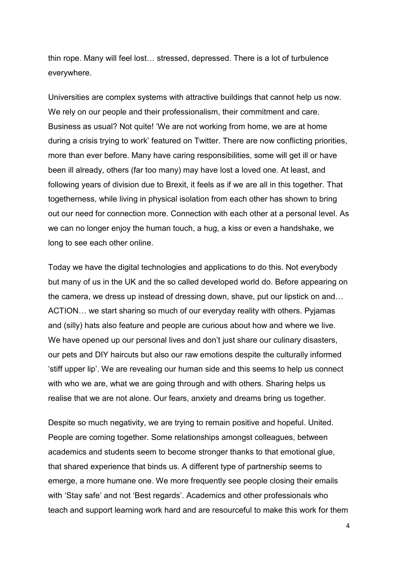thin rope. Many will feel lost… stressed, depressed. There is a lot of turbulence everywhere.

Universities are complex systems with attractive buildings that cannot help us now. We rely on our people and their professionalism, their commitment and care. Business as usual? Not quite! 'We are not working from home, we are at home during a crisis trying to work' featured on Twitter. There are now conflicting priorities, more than ever before. Many have caring responsibilities, some will get ill or have been ill already, others (far too many) may have lost a loved one. At least, and following years of division due to Brexit, it feels as if we are all in this together. That togetherness, while living in physical isolation from each other has shown to bring out our need for connection more. Connection with each other at a personal level. As we can no longer enjoy the human touch, a hug, a kiss or even a handshake, we long to see each other online.

Today we have the digital technologies and applications to do this. Not everybody but many of us in the UK and the so called developed world do. Before appearing on the camera, we dress up instead of dressing down, shave, put our lipstick on and… ACTION… we start sharing so much of our everyday reality with others. Pyjamas and (silly) hats also feature and people are curious about how and where we live. We have opened up our personal lives and don't just share our culinary disasters, our pets and DIY haircuts but also our raw emotions despite the culturally informed 'stiff upper lip'. We are revealing our human side and this seems to help us connect with who we are, what we are going through and with others. Sharing helps us realise that we are not alone. Our fears, anxiety and dreams bring us together.

Despite so much negativity, we are trying to remain positive and hopeful. United. People are coming together. Some relationships amongst colleagues, between academics and students seem to become stronger thanks to that emotional glue, that shared experience that binds us. A different type of partnership seems to emerge, a more humane one. We more frequently see people closing their emails with 'Stay safe' and not 'Best regards'. Academics and other professionals who teach and support learning work hard and are resourceful to make this work for them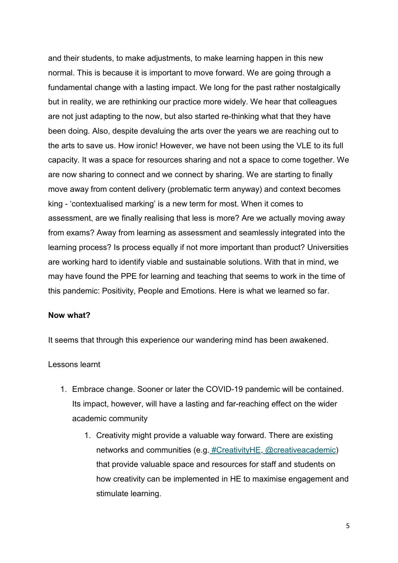and their students, to make adjustments, to make learning happen in this new normal. This is because it is important to move forward. We are going through a fundamental change with a lasting impact. We long for the past rather nostalgically but in reality, we are rethinking our practice more widely. We hear that colleagues are not just adapting to the now, but also started re-thinking what that they have been doing. Also, despite devaluing the arts over the years we are reaching out to the arts to save us. How ironic! However, we have not been using the VLE to its full capacity. It was a space for resources sharing and not a space to come together. We are now sharing to connect and we connect by sharing. We are starting to finally move away from content delivery (problematic term anyway) and context becomes king - 'contextualised marking' is a new term for most. When it comes to assessment, are we finally realising that less is more? Are we actually moving away from exams? Away from learning as assessment and seamlessly integrated into the learning process? Is process equally if not more important than product? Universities are working hard to identify viable and sustainable solutions. With that in mind, we may have found the PPE for learning and teaching that seems to work in the time of this pandemic: Positivity, People and Emotions. Here is what we learned so far.

### **Now what?**

It seems that through this experience our wandering mind has been awakened.

Lessons learnt

- 1. Embrace change. Sooner or later the COVID-19 pandemic will be contained. Its impact, however, will have a lasting and far-reaching effect on the wider academic community
	- 1. Creativity might provide a valuable way forward. There are existing networks and communities (e.g. [#CreativityHE,](https://creativehecommunity.wordpress.com/,) [@creativeacademic\)](https://www.creativeacademic.uk/) that provide valuable space and resources for staff and students on how creativity can be implemented in HE to maximise engagement and stimulate learning.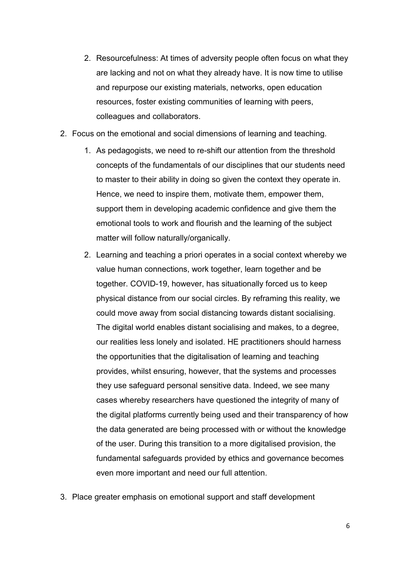- 2. Resourcefulness: At times of adversity people often focus on what they are lacking and not on what they already have. It is now time to utilise and repurpose our existing materials, networks, open education resources, foster existing communities of learning with peers, colleagues and collaborators.
- 2. Focus on the emotional and social dimensions of learning and teaching.
	- 1. As pedagogists, we need to re-shift our attention from the threshold concepts of the fundamentals of our disciplines that our students need to master to their ability in doing so given the context they operate in. Hence, we need to inspire them, motivate them, empower them, support them in developing academic confidence and give them the emotional tools to work and flourish and the learning of the subject matter will follow naturally/organically.
	- 2. Learning and teaching a priori operates in a social context whereby we value human connections, work together, learn together and be together. COVID-19, however, has situationally forced us to keep physical distance from our social circles. By reframing this reality, we could move away from social distancing towards distant socialising. The digital world enables distant socialising and makes, to a degree, our realities less lonely and isolated. HE practitioners should harness the opportunities that the digitalisation of learning and teaching provides, whilst ensuring, however, that the systems and processes they use safeguard personal sensitive data. Indeed, we see many cases whereby researchers have questioned the integrity of many of the digital platforms currently being used and their transparency of how the data generated are being processed with or without the knowledge of the user. During this transition to a more digitalised provision, the fundamental safeguards provided by ethics and governance becomes even more important and need our full attention.
- 3. Place greater emphasis on emotional support and staff development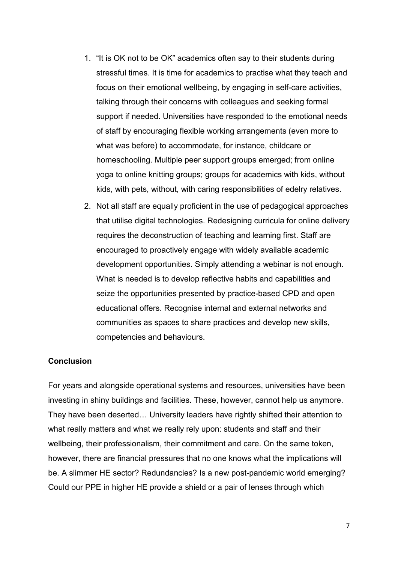- 1. "It is OK not to be OK" academics often say to their students during stressful times. It is time for academics to practise what they teach and focus on their emotional wellbeing, by engaging in self-care activities, talking through their concerns with colleagues and seeking formal support if needed. Universities have responded to the emotional needs of staff by encouraging flexible working arrangements (even more to what was before) to accommodate, for instance, childcare or homeschooling. Multiple peer support groups emerged; from online yoga to online knitting groups; groups for academics with kids, without kids, with pets, without, with caring responsibilities of edelry relatives.
- 2. Not all staff are equally proficient in the use of pedagogical approaches that utilise digital technologies. Redesigning curricula for online delivery requires the deconstruction of teaching and learning first. Staff are encouraged to proactively engage with widely available academic development opportunities. Simply attending a webinar is not enough. What is needed is to develop reflective habits and capabilities and seize the opportunities presented by practice-based CPD and open educational offers. Recognise internal and external networks and communities as spaces to share practices and develop new skills, competencies and behaviours.

### **Conclusion**

For years and alongside operational systems and resources, universities have been investing in shiny buildings and facilities. These, however, cannot help us anymore. They have been deserted… University leaders have rightly shifted their attention to what really matters and what we really rely upon: students and staff and their wellbeing, their professionalism, their commitment and care. On the same token, however, there are financial pressures that no one knows what the implications will be. A slimmer HE sector? Redundancies? Is a new post-pandemic world emerging? Could our PPE in higher HE provide a shield or a pair of lenses through which